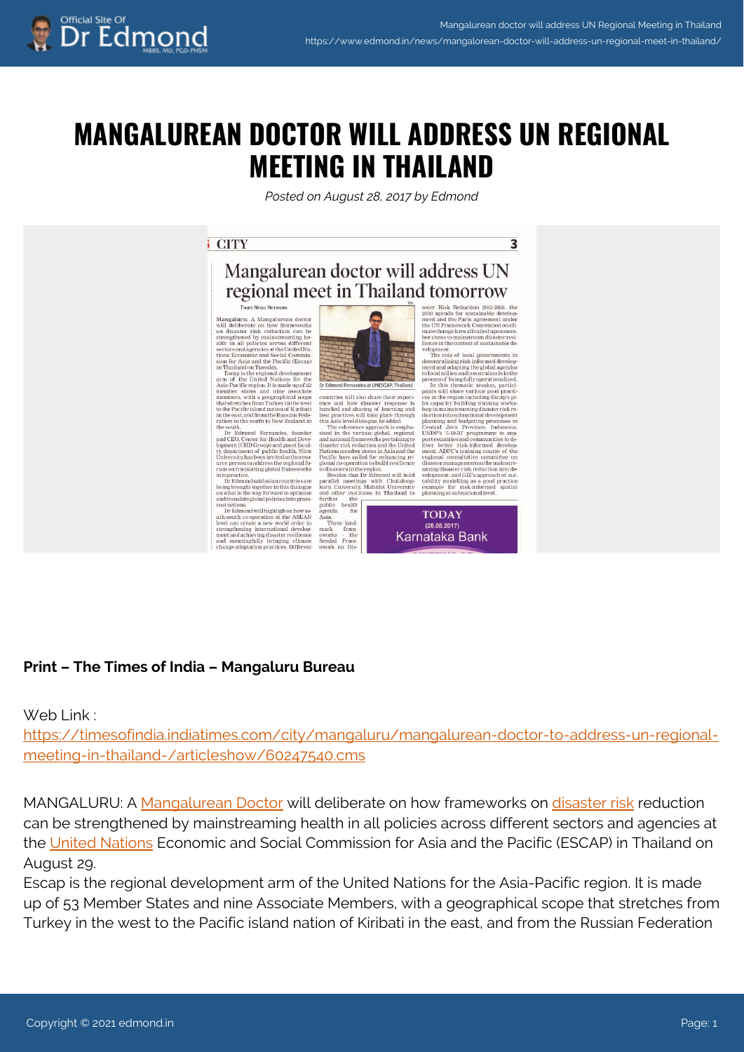$\overline{\mathbf{z}}$ 

# **MANGALUREAN DOCTOR WILL ADDRESS UN REGIONAL MEETING IN THAILAND**

*Posted on August 28, 2017 by Edmond*

## **CITY**

# Mangalurean doctor will address UN regional meet in Thailand tomorrow

#### THERE NEWS NETWORK

 $\begin{tabular}{p{0.875\textwidth}} \bf Magnalure: A Mangalurean doctor will deliver a on how frameworks that the other case, the effect of the discrete space. The other hand, the same is a small smaller than the other than the same. For example, the second common from the same case, the second common. The second is not the same, the second common. The second is not the same, the second common. The second is not the second. The second is not the second. The second is not the second. The second is not the second. The second is not the second. The second is not the second. The second is not the second. The second is not the second. The second is not the second. The second is not the second. The second is not the second. The second is not the second. The second is not the second. The second is not the second. The second is not the second. The second is not the second. The second is not the third.$ 

sion for Asia and the Pacific (Escap)<br>
in Thailand on Tuesday<br>
Example is the regional development<br>
Example is a carn of the United Nations for the the distribution for<br>
a carn of the United Nations for the time associate

ure person to address the regional formula cooperation to build resilience remove that the proposition of the proposition of the proposition of the proposition of the proposition of the proposition of the proposition of t



 $\label{eq:20} \textbf{C} \textbf{L} \textbf{D} \textbf{E} \textbf{N} \textbf{C} \textbf{N} \textbf{C} \textbf{N} \textbf{C} \textbf{N} \textbf{S} \textbf{0} \textbf{0} \textbf{0} \textbf{0} \textbf{0} \textbf{0} \textbf{0} \textbf{0} \textbf{0} \textbf{0} \textbf{0} \textbf{0} \textbf{0} \textbf{0} \textbf{0} \textbf{0} \textbf{0} \textbf{0} \textbf{0} \textbf{0} \textbf{0} \textbf{0} \textbf{0} \text$ 

**TODAY**  $(28.08.2017)$ Karnataka Bank

# **Print – The Times of India – Mangaluru Bureau**

## Web Link :

[https://timesofindia.indiatimes.com/city/mangaluru/mangalurean-doctor-to-address-un-regional](https://timesofindia.indiatimes.com/city/mangaluru/mangalurean-doctor-to-address-un-regional-meeting-in-thailand-/articleshow/60247540.cms)[meeting-in-thailand-/articleshow/60247540.cms](https://timesofindia.indiatimes.com/city/mangaluru/mangalurean-doctor-to-address-un-regional-meeting-in-thailand-/articleshow/60247540.cms)

MANGALURU: A [Mangalurean Doctor](https://timesofindia.indiatimes.com/topic/Mangalurean-Doctor) will deliberate on how frameworks on [disaster risk](https://timesofindia.indiatimes.com/topic/disaster-risk) reduction can be strengthened by mainstreaming health in all policies across different sectors and agencies at the [United Nations](https://timesofindia.indiatimes.com/topic/United-Nations) Economic and Social Commission for Asia and the Pacific (ESCAP) in Thailand on August 29.

Escap is the regional development arm of the United Nations for the Asia-Pacific region. It is made up of 53 Member States and nine Associate Members, with a geographical scope that stretches from Turkey in the west to the Pacific island nation of Kiribati in the east, and from the Russian Federation